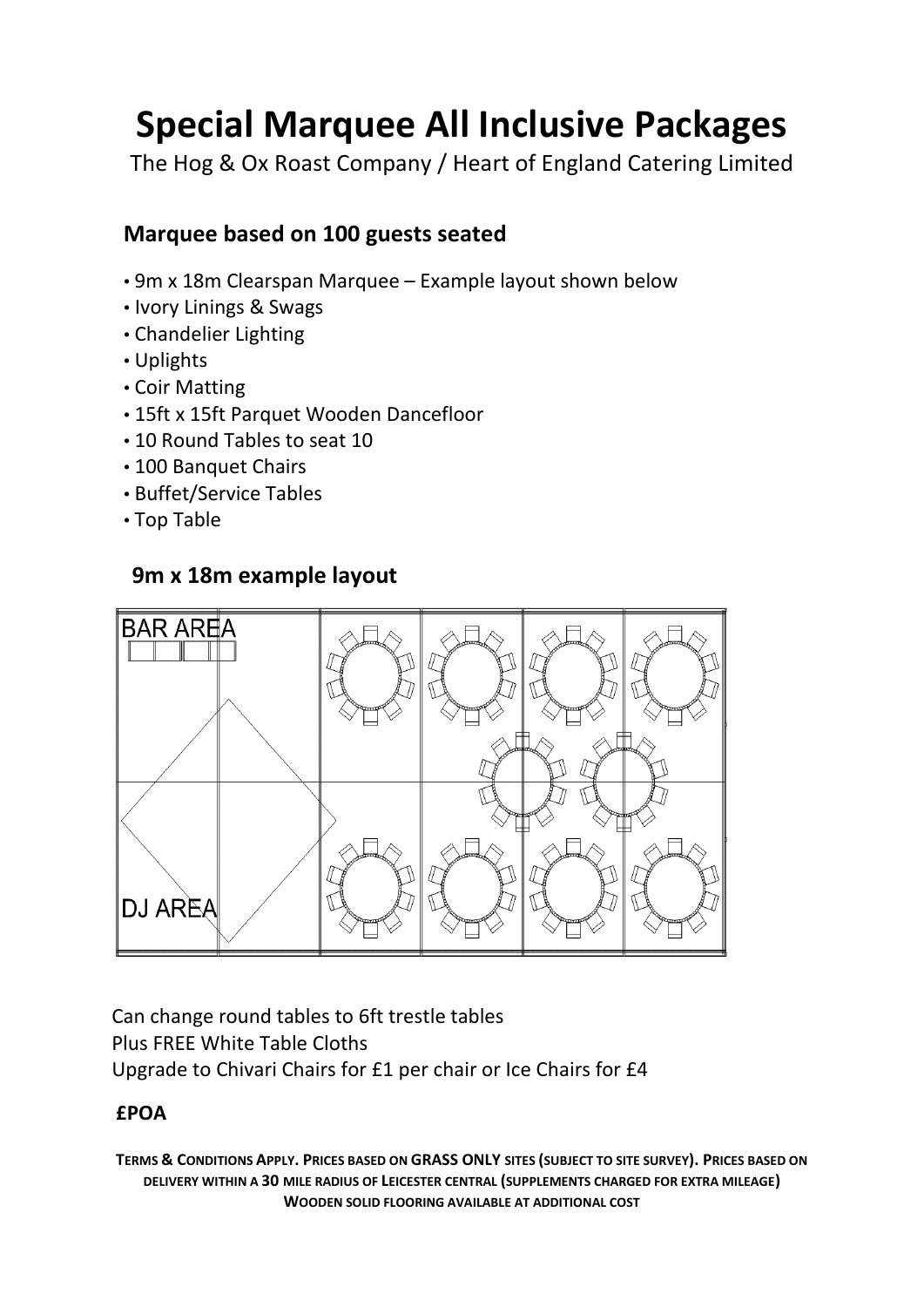# **Special Marquee All Inclusive Packages**

The Hog & Ox Roast Company / Heart of England Catering Limited

# **Marquee based on 100 guests seated**

- 9m x 18m Clearspan Marquee Example layout shown below
- Ivory Linings & Swags
- Chandelier Lighting
- Uplights
- Coir Matting
- 15ft x 15ft Parquet Wooden Dancefloor
- 10 Round Tables to seat 10
- 100 Banquet Chairs
- Buffet/Service Tables
- Top Table

# **9m x 18m example layout**



Can change round tables to 6ft trestle tables Plus FREE White Table Cloths Upgrade to Chivari Chairs for £1 per chair or Ice Chairs for £4

### **£POA**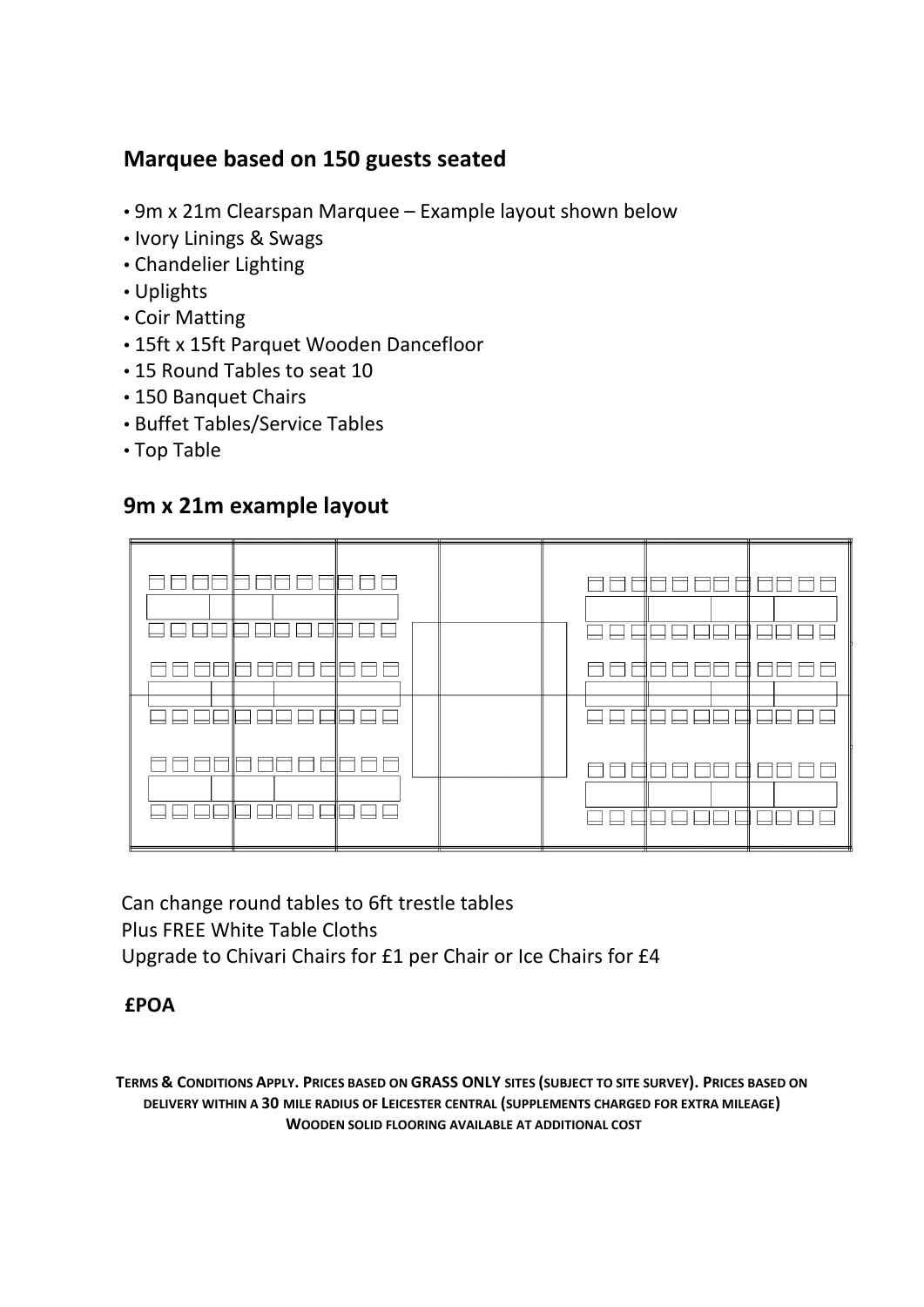# **Marquee based on 150 guests seated**

- 9m x 21m Clearspan Marquee Example layout shown below
- Ivory Linings & Swags
- Chandelier Lighting
- Uplights
- Coir Matting
- 15ft x 15ft Parquet Wooden Dancefloor
- 15 Round Tables to seat 10
- 150 Banquet Chairs
- Buffet Tables/Service Tables
- Top Table

#### **9m x 21m example layout**



 Can change round tables to 6ft trestle tables Plus FREE White Table Cloths Upgrade to Chivari Chairs for £1 per Chair or Ice Chairs for £4

#### **£POA**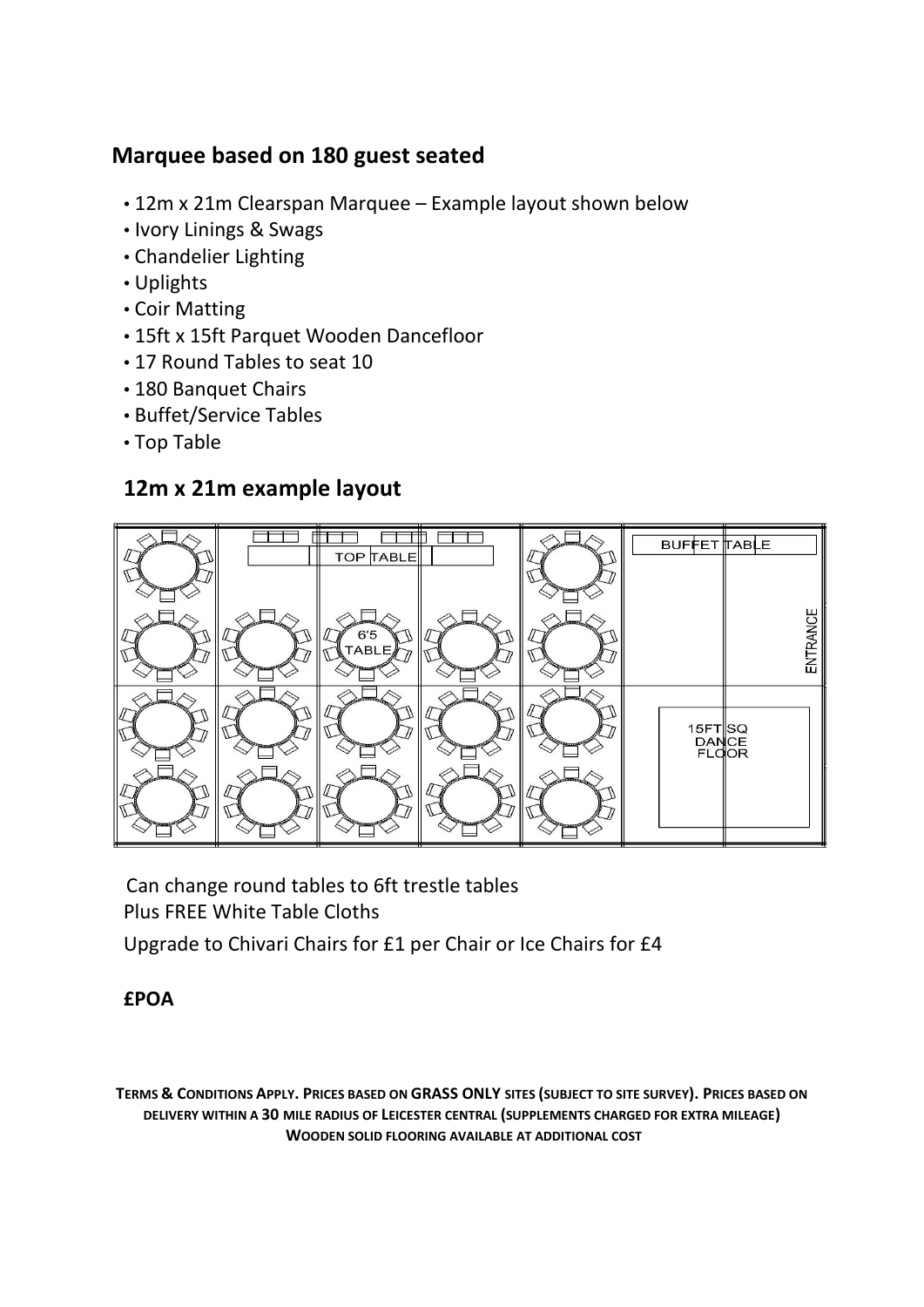# **Marquee based on 180 guest seated**

- 12m x 21m Clearspan Marquee Example layout shown below
- Ivory Linings & Swags
- Chandelier Lighting
- Uplights
- Coir Matting
- 15ft x 15ft Parquet Wooden Dancefloor
- 17 Round Tables to seat 10
- 180 Banquet Chairs
- Buffet/Service Tables
- Top Table

## **12m x 21m example layout**



 Can change round tables to 6ft trestle tables Plus FREE White Table Cloths

Upgrade to Chivari Chairs for £1 per Chair or Ice Chairs for £4

#### **£POA**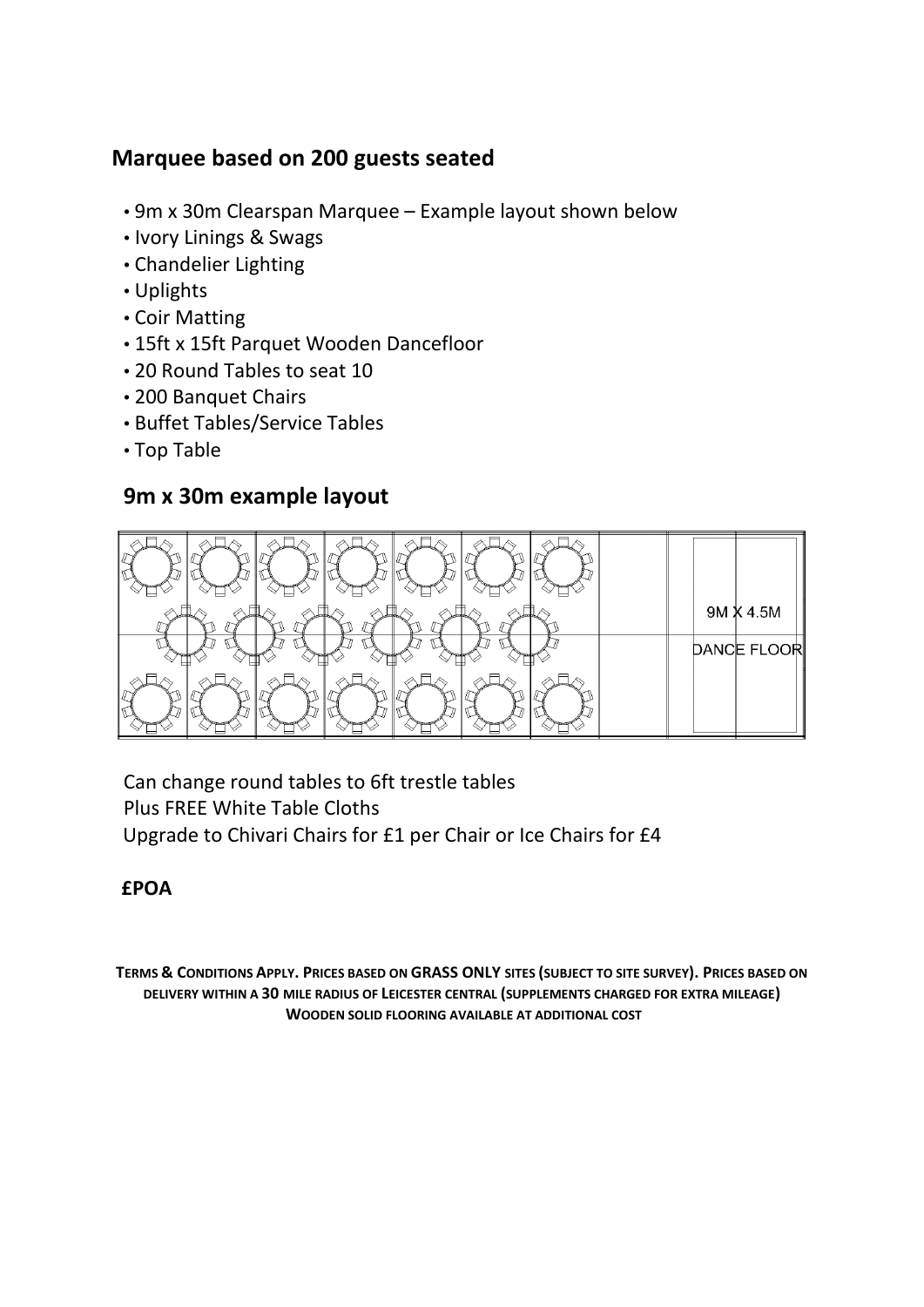# **Marquee based on 200 guests seated**

- 9m x 30m Clearspan Marquee Example layout shown below
- Ivory Linings & Swags
- Chandelier Lighting
- Uplights
- Coir Matting
- 15ft x 15ft Parquet Wooden Dancefloor
- 20 Round Tables to seat 10
- 200 Banquet Chairs
- Buffet Tables/Service Tables
- Top Table

#### **9m x 30m example layout**



Can change round tables to 6ft trestle tables Plus FREE White Table Cloths Upgrade to Chivari Chairs for £1 per Chair or Ice Chairs for £4

#### **£POA**